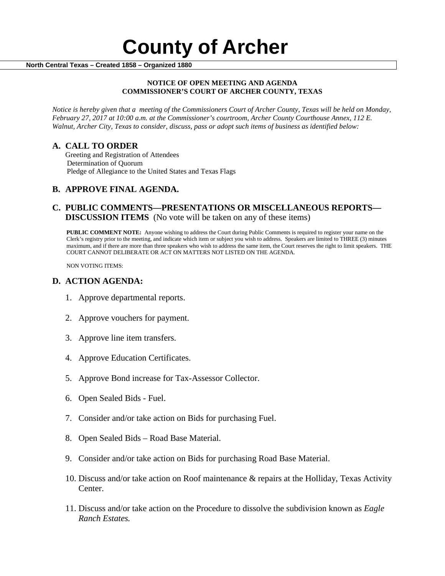#### **NOTICE OF OPEN MEETING AND AGENDA COMMISSIONER'S COURT OF ARCHER COUNTY, TEXAS**

*Notice is hereby given that a meeting of the Commissioners Court of Archer County, Texas will be held on Monday, February 27, 2017 at 10:00 a.m. at the Commissioner's courtroom, Archer County Courthouse Annex, 112 E. Walnut, Archer City, Texas to consider, discuss, pass or adopt such items of business as identified below:*

**A. CALL TO ORDER** Greeting and Registration of Attendees Determination of Quorum Pledge of Allegiance to the United States and Texas Flags

## **B. APPROVE FINAL AGENDA.**

# **C. PUBLIC COMMENTS—PRESENTATIONS OR MISCELLANEOUS REPORTS— DISCUSSION ITEMS** (No vote will be taken on any of these items)

**PUBLIC COMMENT NOTE:** Anyone wishing to address the Court during Public Comments is required to register your name on the Clerk's registry prior to the meeting, and indicate which item or subject you wish to address. Speakers are limited to THREE (3) minutes maximum, and if there are more than three speakers who wish to address the same item, the Court reserves the right to limit speakers. THE COURT CANNOT DELIBERATE OR ACT ON MATTERS NOT LISTED ON THE AGENDA.

NON VOTING ITEMS:

### **D. ACTION AGENDA:**

- 1. Approve departmental reports.
- 2. Approve vouchers for payment.
- 3. Approve line item transfers.
- 4. Approve Education Certificates.
- 5. Approve Bond increase for Tax-Assessor Collector.
- 6. Open Sealed Bids Fuel.
- 7. Consider and/or take action on Bids for purchasing Fuel.
- 8. Open Sealed Bids Road Base Material.
- 9. Consider and/or take action on Bids for purchasing Road Base Material.
- 10. Discuss and/or take action on Roof maintenance & repairs at the Holliday, Texas Activity Center.
- 11. Discuss and/or take action on the Procedure to dissolve the subdivision known as *Eagle Ranch Estates.*